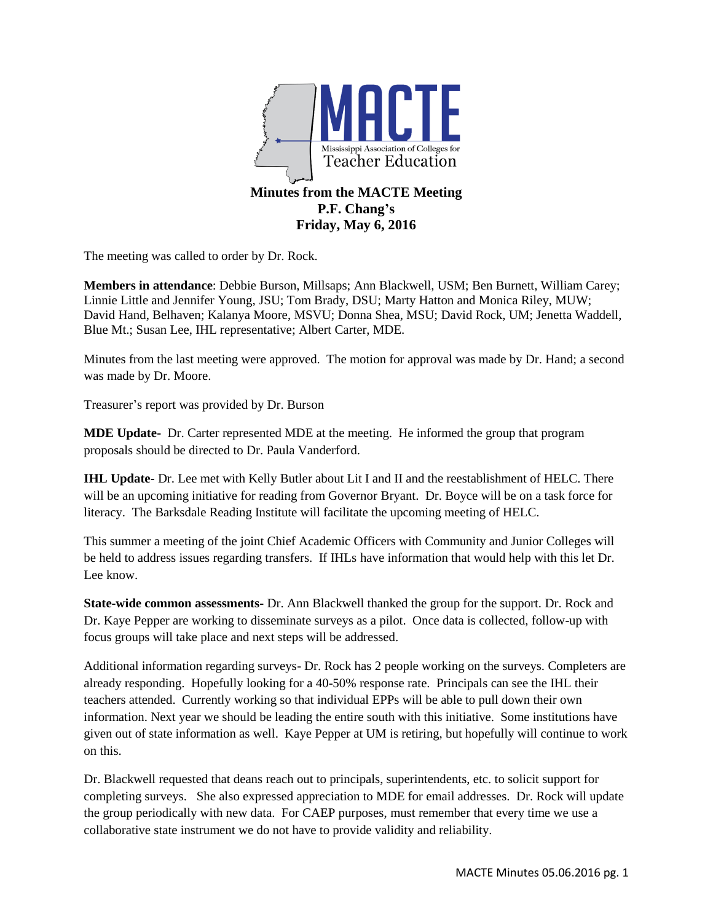

The meeting was called to order by Dr. Rock.

**Members in attendance**: Debbie Burson, Millsaps; Ann Blackwell, USM; Ben Burnett, William Carey; Linnie Little and Jennifer Young, JSU; Tom Brady, DSU; Marty Hatton and Monica Riley, MUW; David Hand, Belhaven; Kalanya Moore, MSVU; Donna Shea, MSU; David Rock, UM; Jenetta Waddell, Blue Mt.; Susan Lee, IHL representative; Albert Carter, MDE.

Minutes from the last meeting were approved. The motion for approval was made by Dr. Hand; a second was made by Dr. Moore.

Treasurer's report was provided by Dr. Burson

**MDE Update-** Dr. Carter represented MDE at the meeting. He informed the group that program proposals should be directed to Dr. Paula Vanderford.

**IHL Update-** Dr. Lee met with Kelly Butler about Lit I and II and the reestablishment of HELC. There will be an upcoming initiative for reading from Governor Bryant. Dr. Boyce will be on a task force for literacy. The Barksdale Reading Institute will facilitate the upcoming meeting of HELC.

This summer a meeting of the joint Chief Academic Officers with Community and Junior Colleges will be held to address issues regarding transfers. If IHLs have information that would help with this let Dr. Lee know.

**State-wide common assessments-** Dr. Ann Blackwell thanked the group for the support. Dr. Rock and Dr. Kaye Pepper are working to disseminate surveys as a pilot. Once data is collected, follow-up with focus groups will take place and next steps will be addressed.

Additional information regarding surveys- Dr. Rock has 2 people working on the surveys. Completers are already responding. Hopefully looking for a 40-50% response rate. Principals can see the IHL their teachers attended. Currently working so that individual EPPs will be able to pull down their own information. Next year we should be leading the entire south with this initiative. Some institutions have given out of state information as well. Kaye Pepper at UM is retiring, but hopefully will continue to work on this.

Dr. Blackwell requested that deans reach out to principals, superintendents, etc. to solicit support for completing surveys. She also expressed appreciation to MDE for email addresses. Dr. Rock will update the group periodically with new data. For CAEP purposes, must remember that every time we use a collaborative state instrument we do not have to provide validity and reliability.